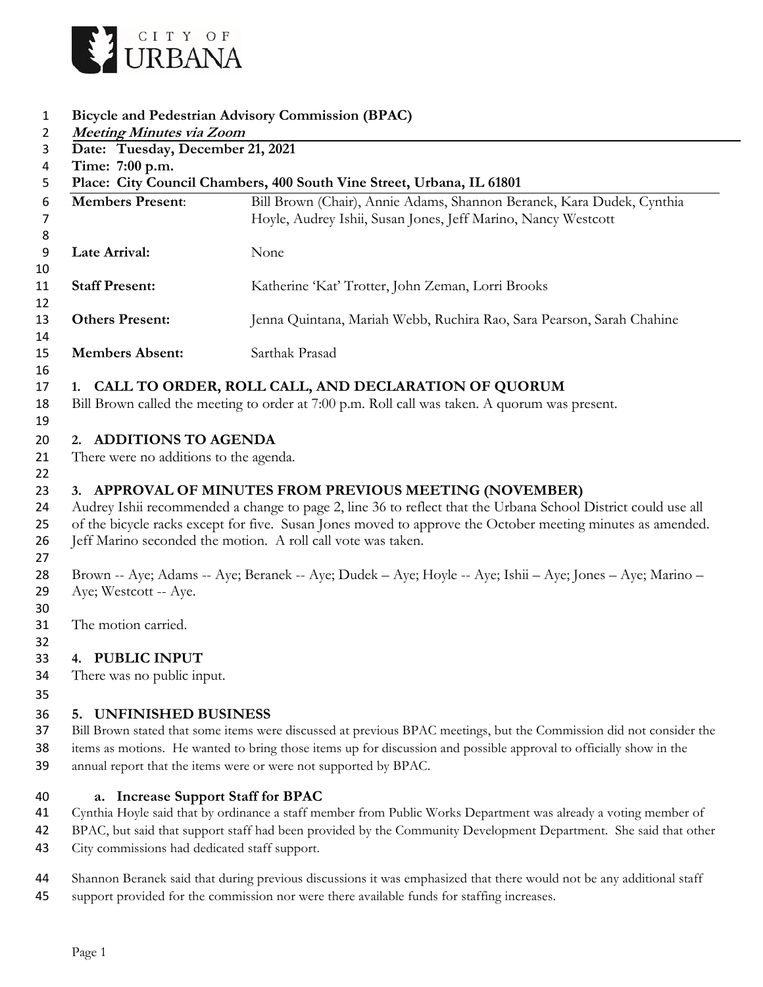

## **Bicycle and Pedestrian Advisory Commission (BPAC)**

| Ŧ<br><b>Meeting Minutes via Zoom</b><br>2                                                                                                                                                                                                 | Dicycle and Pedestrian Advisory Commission (DPAC)                                                               |
|-------------------------------------------------------------------------------------------------------------------------------------------------------------------------------------------------------------------------------------------|-----------------------------------------------------------------------------------------------------------------|
| Date: Tuesday, December 21, 2021<br>3                                                                                                                                                                                                     |                                                                                                                 |
| Time: 7:00 p.m.<br>4                                                                                                                                                                                                                      |                                                                                                                 |
| 5                                                                                                                                                                                                                                         | Place: City Council Chambers, 400 South Vine Street, Urbana, IL 61801                                           |
| <b>Members Present:</b><br>6                                                                                                                                                                                                              | Bill Brown (Chair), Annie Adams, Shannon Beranek, Kara Dudek, Cynthia                                           |
| 7                                                                                                                                                                                                                                         | Hoyle, Audrey Ishii, Susan Jones, Jeff Marino, Nancy Westcott                                                   |
| 8<br>Late Arrival:<br>9                                                                                                                                                                                                                   | None                                                                                                            |
| 10<br><b>Staff Present:</b><br>11                                                                                                                                                                                                         | Katherine 'Kat' Trotter, John Zeman, Lorri Brooks                                                               |
| 12<br><b>Others Present:</b><br>13                                                                                                                                                                                                        | Jenna Quintana, Mariah Webb, Ruchira Rao, Sara Pearson, Sarah Chahine                                           |
| 14                                                                                                                                                                                                                                        |                                                                                                                 |
| <b>Members Absent:</b><br>15                                                                                                                                                                                                              | Sarthak Prasad                                                                                                  |
| 16                                                                                                                                                                                                                                        |                                                                                                                 |
| 17<br>1.<br>18                                                                                                                                                                                                                            | CALL TO ORDER, ROLL CALL, AND DECLARATION OF QUORUM                                                             |
| 19                                                                                                                                                                                                                                        | Bill Brown called the meeting to order at 7:00 p.m. Roll call was taken. A quorum was present.                  |
| 2. ADDITIONS TO AGENDA<br>20                                                                                                                                                                                                              |                                                                                                                 |
| There were no additions to the agenda.                                                                                                                                                                                                    |                                                                                                                 |
| 22                                                                                                                                                                                                                                        |                                                                                                                 |
|                                                                                                                                                                                                                                           | 3. APPROVAL OF MINUTES FROM PREVIOUS MEETING (NOVEMBER)                                                         |
| Audrey Ishii recommended a change to page 2, line 36 to reflect that the Urbana School District could use all                                                                                                                             |                                                                                                                 |
|                                                                                                                                                                                                                                           | of the bicycle racks except for five. Susan Jones moved to approve the October meeting minutes as amended.      |
|                                                                                                                                                                                                                                           | Jeff Marino seconded the motion. A roll call vote was taken.                                                    |
|                                                                                                                                                                                                                                           | Brown -- Aye; Adams -- Aye; Beranek -- Aye; Dudek – Aye; Hoyle -- Aye; Ishii – Aye; Jones – Aye; Marino –       |
| Aye; Westcott -- Aye.                                                                                                                                                                                                                     |                                                                                                                 |
|                                                                                                                                                                                                                                           |                                                                                                                 |
| The motion carried.                                                                                                                                                                                                                       |                                                                                                                 |
|                                                                                                                                                                                                                                           |                                                                                                                 |
| 4. PUBLIC INPUT                                                                                                                                                                                                                           |                                                                                                                 |
| There was no public input.                                                                                                                                                                                                                |                                                                                                                 |
|                                                                                                                                                                                                                                           |                                                                                                                 |
| 5. UNFINISHED BUSINESS                                                                                                                                                                                                                    |                                                                                                                 |
| Bill Brown stated that some items were discussed at previous BPAC meetings, but the Commission did not consider the<br>items as motions. He wanted to bring those items up for discussion and possible approval to officially show in the |                                                                                                                 |
| 38<br>39                                                                                                                                                                                                                                  | annual report that the items were or were not supported by BPAC.                                                |
| 40                                                                                                                                                                                                                                        | a. Increase Support Staff for BPAC                                                                              |
|                                                                                                                                                                                                                                           | Cynthia Hoyle said that by ordinance a staff member from Public Works Department was already a voting member of |
| BPAC, but said that support staff had been provided by the Community Development Department. She said that other                                                                                                                          |                                                                                                                 |

- City commissions had dedicated staff support.
- Shannon Beranek said that during previous discussions it was emphasized that there would not be any additional staff
- support provided for the commission nor were there available funds for staffing increases.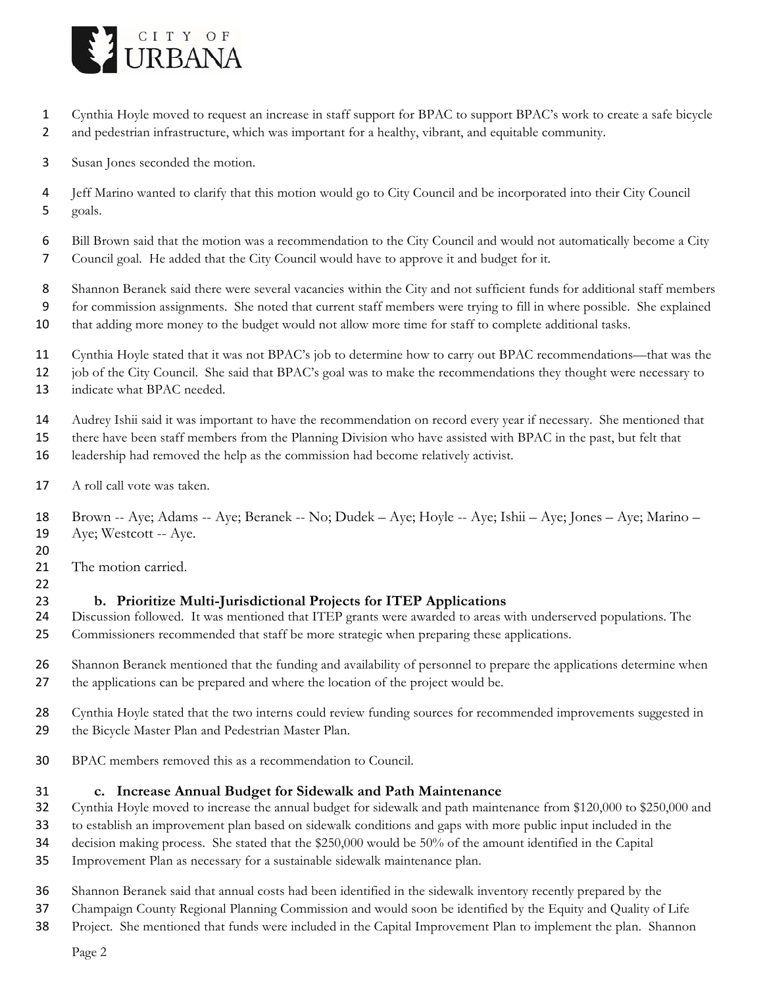

- Cynthia Hoyle moved to request an increase in staff support for BPAC to support BPAC's work to create a safe bicycle and pedestrian infrastructure, which was important for a healthy, vibrant, and equitable community.
- Susan Jones seconded the motion.
- Jeff Marino wanted to clarify that this motion would go to City Council and be incorporated into their City Council goals.
- Bill Brown said that the motion was a recommendation to the City Council and would not automatically become a City
- Council goal. He added that the City Council would have to approve it and budget for it.
- Shannon Beranek said there were several vacancies within the City and not sufficient funds for additional staff members for commission assignments. She noted that current staff members were trying to fill in where possible. She explained that adding more money to the budget would not allow more time for staff to complete additional tasks.
- Cynthia Hoyle stated that it was not BPAC's job to determine how to carry out BPAC recommendations—that was the
- job of the City Council. She said that BPAC's goal was to make the recommendations they thought were necessary to
- 13 indicate what BPAC needed.
- Audrey Ishii said it was important to have the recommendation on record every year if necessary. She mentioned that
- there have been staff members from the Planning Division who have assisted with BPAC in the past, but felt that
- leadership had removed the help as the commission had become relatively activist.
- 17 A roll call vote was taken.
- Brown -- Aye; Adams -- Aye; Beranek -- No; Dudek Aye; Hoyle -- Aye; Ishii Aye; Jones Aye; Marino Aye; Westcott -- Aye.
- 
- 21 The motion carried.
- 

## **b. Prioritize Multi-Jurisdictional Projects for ITEP Applications**

- Discussion followed. It was mentioned that ITEP grants were awarded to areas with underserved populations. The
- Commissioners recommended that staff be more strategic when preparing these applications.
- Shannon Beranek mentioned that the funding and availability of personnel to prepare the applications determine when the applications can be prepared and where the location of the project would be.
- Cynthia Hoyle stated that the two interns could review funding sources for recommended improvements suggested in the Bicycle Master Plan and Pedestrian Master Plan.
- BPAC members removed this as a recommendation to Council.

### **c. Increase Annual Budget for Sidewalk and Path Maintenance**

- Cynthia Hoyle moved to increase the annual budget for sidewalk and path maintenance from \$120,000 to \$250,000 and
- to establish an improvement plan based on sidewalk conditions and gaps with more public input included in the
- decision making process. She stated that the \$250,000 would be 50% of the amount identified in the Capital
- Improvement Plan as necessary for a sustainable sidewalk maintenance plan.
- Shannon Beranek said that annual costs had been identified in the sidewalk inventory recently prepared by the
- Champaign County Regional Planning Commission and would soon be identified by the Equity and Quality of Life
- Project. She mentioned that funds were included in the Capital Improvement Plan to implement the plan. Shannon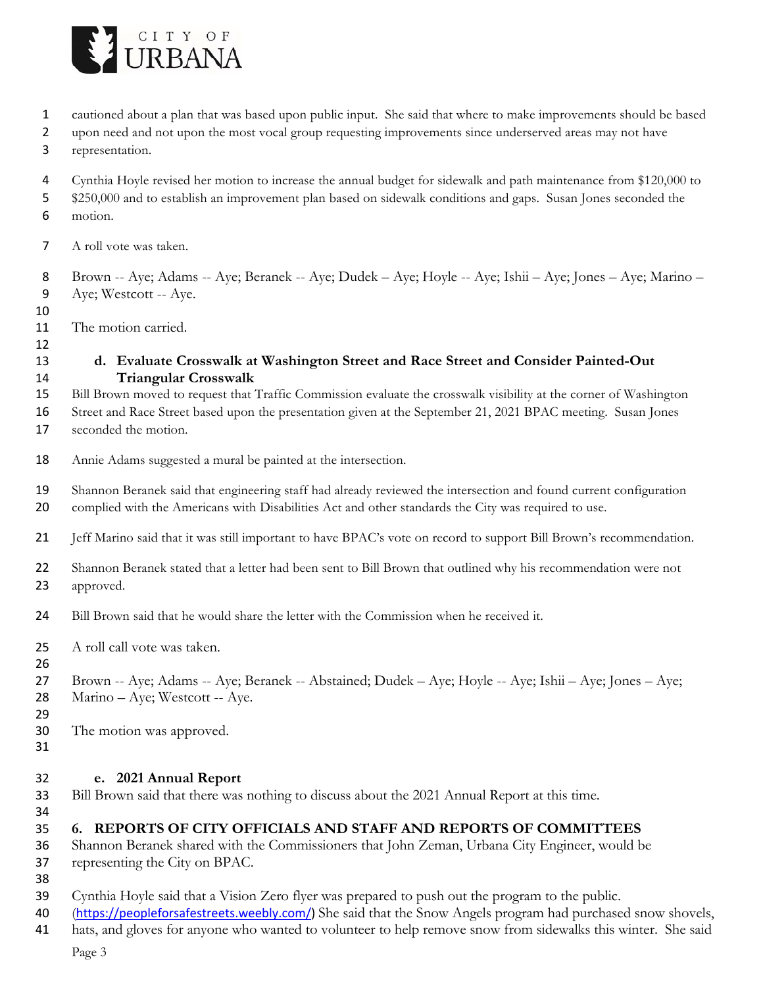

- cautioned about a plan that was based upon public input. She said that where to make improvements should be based
- 2 upon need and not upon the most vocal group requesting improvements since underserved areas may not have
- representation.
- Cynthia Hoyle revised her motion to increase the annual budget for sidewalk and path maintenance from \$120,000 to
- 5 \$250,000 and to establish an improvement plan based on sidewalk conditions and gaps. Susan Jones seconded the motion.
- 7 A roll vote was taken.
- Brown -- Aye; Adams -- Aye; Beranek -- Aye; Dudek Aye; Hoyle -- Aye; Ishii Aye; Jones Aye; Marino 9 Aye; Westcott -- Aye.
- 

11 The motion carried.

 **d. Evaluate Crosswalk at Washington Street and Race Street and Consider Painted-Out Triangular Crosswalk** 

- Bill Brown moved to request that Traffic Commission evaluate the crosswalk visibility at the corner of Washington
- Street and Race Street based upon the presentation given at the September 21, 2021 BPAC meeting. Susan Jones
- 17 seconded the motion.
- Annie Adams suggested a mural be painted at the intersection.
- Shannon Beranek said that engineering staff had already reviewed the intersection and found current configuration
- 20 complied with the Americans with Disabilities Act and other standards the City was required to use.
- Jeff Marino said that it was still important to have BPAC's vote on record to support Bill Brown's recommendation.
- Shannon Beranek stated that a letter had been sent to Bill Brown that outlined why his recommendation were not approved.
- Bill Brown said that he would share the letter with the Commission when he received it.
- 25 A roll call vote was taken.
- 
- Brown -- Aye; Adams -- Aye; Beranek -- Abstained; Dudek Aye; Hoyle -- Aye; Ishii Aye; Jones Aye; Marino – Aye; Westcott -- Aye.
- 
- The motion was approved.
- 

## **e. 2021 Annual Report**

Bill Brown said that there was nothing to discuss about the 2021 Annual Report at this time.

# **6. REPORTS OF CITY OFFICIALS AND STAFF AND REPORTS OF COMMITTEES**

 Shannon Beranek shared with the Commissioners that John Zeman, Urbana City Engineer, would be representing the City on BPAC.

- 
- Cynthia Hoyle said that a Vision Zero flyer was prepared to push out the program to the public.
- (https://peopleforsafestreets.weebly.com/) She said that the Snow Angels program had purchased snow shovels,
- hats, and gloves for anyone who wanted to volunteer to help remove snow from sidewalks this winter. She said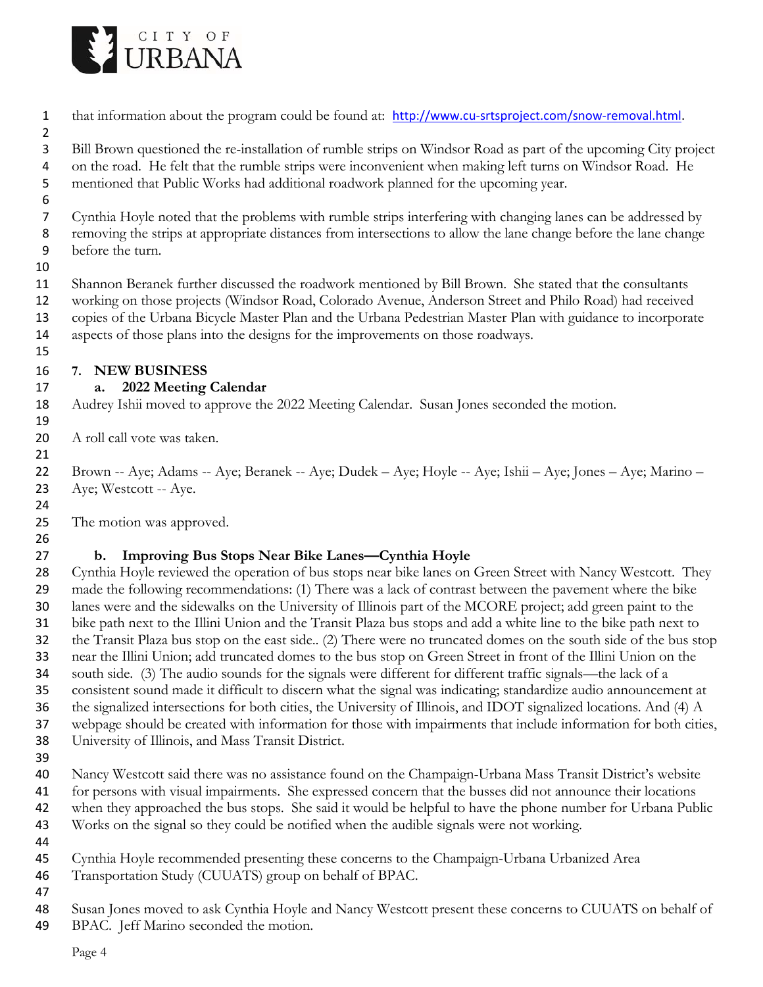

- 1 that information about the program could be found at: http://www.cu-srtsproject.com/snow-removal.html. Bill Brown questioned the re-installation of rumble strips on Windsor Road as part of the upcoming City project on the road. He felt that the rumble strips were inconvenient when making left turns on Windsor Road. He mentioned that Public Works had additional roadwork planned for the upcoming year. Cynthia Hoyle noted that the problems with rumble strips interfering with changing lanes can be addressed by removing the strips at appropriate distances from intersections to allow the lane change before the lane change before the turn. Shannon Beranek further discussed the roadwork mentioned by Bill Brown. She stated that the consultants working on those projects (Windsor Road, Colorado Avenue, Anderson Street and Philo Road) had received copies of the Urbana Bicycle Master Plan and the Urbana Pedestrian Master Plan with guidance to incorporate aspects of those plans into the designs for the improvements on those roadways. **7. NEW BUSINESS a. 2022 Meeting Calendar**  Audrey Ishii moved to approve the 2022 Meeting Calendar. Susan Jones seconded the motion. 20 A roll call vote was taken. Brown -- Aye; Adams -- Aye; Beranek -- Aye; Dudek – Aye; Hoyle -- Aye; Ishii – Aye; Jones – Aye; Marino – 23 Aye; Westcott -- Aye. The motion was approved. **b. Improving Bus Stops Near Bike Lanes—Cynthia Hoyle**  Cynthia Hoyle reviewed the operation of bus stops near bike lanes on Green Street with Nancy Westcott. They made the following recommendations: (1) There was a lack of contrast between the pavement where the bike lanes were and the sidewalks on the University of Illinois part of the MCORE project; add green paint to the bike path next to the Illini Union and the Transit Plaza bus stops and add a white line to the bike path next to
	- the Transit Plaza bus stop on the east side.. (2) There were no truncated domes on the south side of the bus stop near the Illini Union; add truncated domes to the bus stop on Green Street in front of the Illini Union on the south side. (3) The audio sounds for the signals were different for different traffic signals—the lack of a consistent sound made it difficult to discern what the signal was indicating; standardize audio announcement at the signalized intersections for both cities, the University of Illinois, and IDOT signalized locations. And (4) A webpage should be created with information for those with impairments that include information for both cities, University of Illinois, and Mass Transit District.
	-

 Nancy Westcott said there was no assistance found on the Champaign-Urbana Mass Transit District's website for persons with visual impairments. She expressed concern that the busses did not announce their locations when they approached the bus stops. She said it would be helpful to have the phone number for Urbana Public Works on the signal so they could be notified when the audible signals were not working.

- 
- Cynthia Hoyle recommended presenting these concerns to the Champaign-Urbana Urbanized Area
- Transportation Study (CUUATS) group on behalf of BPAC.
- 
- Susan Jones moved to ask Cynthia Hoyle and Nancy Westcott present these concerns to CUUATS on behalf of BPAC. Jeff Marino seconded the motion.